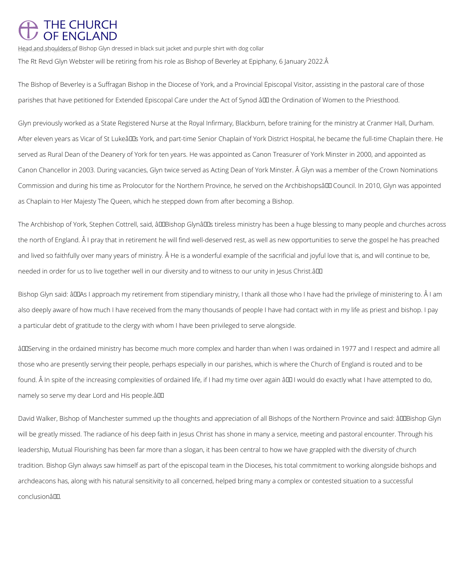## THE CHURCH<br>OF ENGLAND

Head and shoulders of Bishop Glyn dressed in black suit jacket and purple shirt with dog collar The Rt Revd Glyn Webster will be retiring from his role as Bishop of Beverley at Epiphany, 6 January 2022.

The Bishop of Beverley is a Suffragan Bishop in the Diocese of York, and a Provincial Episcopal Visitor, assisting in the pastoral care of those parishes that have petitioned for Extended Episcopal Care under the Act of Synod â II the Ordination of Women to the Priesthood.

Glyn previously worked as a State Registered Nurse at the Royal Infirmary, Blackburn, before training for the ministry at Cranmer Hall, Durham. After eleven years as Vicar of St Lukeâ DDs York, and part-time Senior Chaplain of York District Hospital, he became the full-time Chaplain there. He served as Rural Dean of the Deanery of York for ten years. He was appointed as Canon Treasurer of York Minster in 2000, and appointed as Canon Chancellor in 2003. During vacancies, Glyn twice served as Acting Dean of York Minster. Â Glyn was a member of the Crown Nominations Commission and during his time as Prolocutor for the Northern Province, he served on the Archbishopsâ LD Council. In 2010, Glyn was appointed as Chaplain to Her Majesty The Queen, which he stepped down from after becoming a Bishop.

The Archbishop of York, Stephen Cottrell, said, âDDBishop GlynâDDs tireless ministry has been a huge blessing to many people and churches across the north of England. Â I pray that in retirement he will find well-deserved rest, as well as new opportunities to serve the gospel he has preached and lived so faithfully over many years of ministry. Â He is a wonderful example of the sacrificial and joyful love that is, and will continue to be, needed in order for us to live together well in our diversity and to witness to our unity in Jesus Christ.â

Bishop Glyn said: âDDAs I approach my retirement from stipendiary ministry, I thank all those who I have had the privilege of ministering to. Â I am also deeply aware of how much I have received from the many thousands of people I have had contact with in my life as priest and bishop. I pay a particular debt of gratitude to the clergy with whom I have been privileged to serve alongside.

âDD Serving in the ordained ministry has become much more complex and harder than when I was ordained in 1977 and I respect and admire all those who are presently serving their people, perhaps especially in our parishes, which is where the Church of England is routed and to be found. A In spite of the increasing complexities of ordained life, if I had my time over again  $\partial \Pi$  I would do exactly what I have attempted to do, namely so serve my dear Lord and His people.â

David Walker, Bishop of Manchester summed up the thoughts and appreciation of all Bishops of the Northern Province and said: âDDBishop Glyn will be greatly missed. The radiance of his deep faith in Jesus Christ has shone in many a service, meeting and pastoral encounter. Through his

leadership, Mutual Flourishing has been far more than a slogan, it has been central to how we have grappled with the diversity of church

tradition. Bishop Glyn always saw himself as part of the episcopal team in the Dioceses, his total commitment to working alongside bishops and

archdeacons has, along with his natural sensitivity to all concerned, helped bring many a complex or contested situation to a successful

conclusionâ<sup>II</sup>.